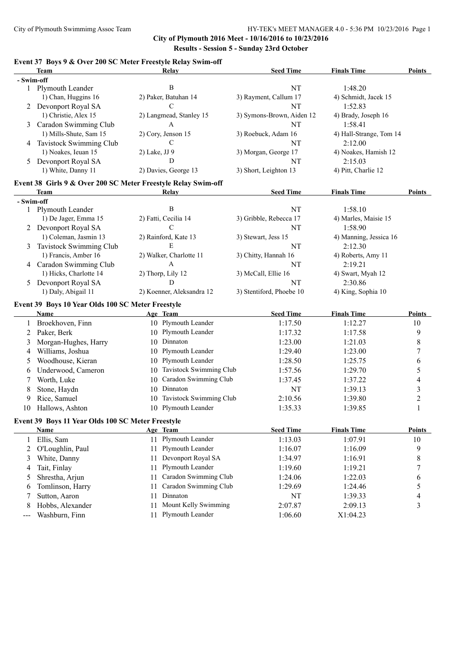**City of Plymouth 2016 Meet - 10/16/2016 to 10/23/2016 Results - Session 5 - Sunday 23rd October**

### **Event 37 Boys 9 & Over 200 SC Meter Freestyle Relay Swim-off**

|                      | <b>Team</b>                                                   |               | Relay                     | <b>Seed Time</b>          | <b>Finals Time</b>      | <b>Points</b>            |
|----------------------|---------------------------------------------------------------|---------------|---------------------------|---------------------------|-------------------------|--------------------------|
|                      | - Swim-off                                                    |               |                           |                           |                         |                          |
|                      | 1 Plymouth Leander                                            |               | $\bf{B}$                  | NT                        | 1:48.20                 |                          |
|                      | 1) Chan, Huggins 16                                           |               | 2) Paker, Batuhan 14      | 3) Rayment, Callum 17     | 4) Schmidt, Jacek 15    |                          |
|                      | 2 Devonport Royal SA                                          |               | $\mathcal{C}$             | NT                        | 1:52.83                 |                          |
|                      | 1) Christie, Alex 15                                          |               | 2) Langmead, Stanley 15   | 3) Symons-Brown, Aiden 12 | 4) Brady, Joseph 16     |                          |
| 3                    | Caradon Swimming Club                                         |               | A                         | NT                        | 1:58.41                 |                          |
|                      | 1) Mills-Shute, Sam 15                                        |               | 2) Cory, Jenson 15        | 3) Roebuck, Adam 16       | 4) Hall-Strange, Tom 14 |                          |
|                      | 4 Tavistock Swimming Club                                     |               | $\mathcal{C}$             | NT                        | 2:12.00                 |                          |
|                      | 1) Noakes, Ieuan 15                                           | 2) Lake, JJ 9 |                           | 3) Morgan, George 17      | 4) Noakes, Hamish 12    |                          |
|                      | 5 Devonport Royal SA                                          |               | D                         | NT                        | 2:15.03                 |                          |
|                      | 1) White, Danny 11                                            |               | 2) Davies, George 13      | 3) Short, Leighton 13     | 4) Pitt, Charlie 12     |                          |
|                      | Event 38 Girls 9 & Over 200 SC Meter Freestyle Relay Swim-off |               |                           |                           |                         |                          |
|                      | Team                                                          |               | Relay                     | <b>Seed Time</b>          | <b>Finals Time</b>      | <b>Points</b>            |
|                      | - Swim-off                                                    |               |                           |                           |                         |                          |
|                      | 1 Plymouth Leander                                            |               | $\bf{B}$                  | NT                        | 1:58.10                 |                          |
|                      | 1) De Jager, Emma 15                                          |               | 2) Fatti, Cecilia 14      | 3) Gribble, Rebecca 17    | 4) Marles, Maisie 15    |                          |
|                      | 2 Devonport Royal SA                                          |               | $\mathcal{C}$             | NT                        | 1:58.90                 |                          |
|                      | 1) Coleman, Jasmin 13                                         |               | 2) Rainford, Kate 13      | 3) Stewart, Jess 15       | 4) Manning, Jessica 16  |                          |
| 3                    | Tavistock Swimming Club                                       |               | E                         | <b>NT</b>                 | 2:12.30                 |                          |
|                      | 1) Francis, Amber 16                                          |               | 2) Walker, Charlotte 11   | 3) Chitty, Hannah 16      | 4) Roberts, Amy 11      |                          |
|                      | 4 Caradon Swimming Club                                       |               | A                         | NT                        | 2:19.21                 |                          |
|                      | 1) Hicks, Charlotte 14                                        |               | 2) Thorp, Lily 12         | 3) McCall, Ellie 16       | 4) Swart, Myah 12       |                          |
| 5                    | Devonport Royal SA                                            |               | D                         | NT                        | 2:30.86                 |                          |
|                      | 1) Daly, Abigail 11                                           |               | 2) Koenner, Aleksandra 12 | 3) Stentiford, Phoebe 10  | 4) King, Sophia 10      |                          |
|                      |                                                               |               |                           |                           |                         |                          |
|                      | Event 39 Boys 10 Year Olds 100 SC Meter Freestyle<br>Name     |               | Age Team                  | <b>Seed Time</b>          | <b>Finals Time</b>      | <b>Points</b>            |
|                      |                                                               |               | 10 Plymouth Leander       |                           |                         |                          |
| 1                    | Broekhoven, Finn                                              |               |                           | 1:17.50                   | 1:12.27                 | 10                       |
| 2                    | Paker, Berk                                                   |               | 10 Plymouth Leander       | 1:17.32                   | 1:17.58                 | 9                        |
| 3                    | Morgan-Hughes, Harry                                          |               | 10 Dinnaton               | 1:23.00                   | 1:21.03                 | 8                        |
| 4                    | Williams, Joshua                                              | 10            | Plymouth Leander          | 1:29.40                   | 1:23.00                 | $\boldsymbol{7}$         |
| 5                    | Woodhouse, Kieran                                             | 10            | Plymouth Leander          | 1:28.50                   | 1:25.75                 | 6                        |
| 6                    | Underwood, Cameron                                            | 10            | Tavistock Swimming Club   | 1:57.56                   | 1:29.70                 | 5                        |
| 7                    | Worth, Luke                                                   | 10            | Caradon Swimming Club     | 1:37.45                   | 1:37.22                 | $\overline{\mathcal{A}}$ |
| 8                    | Stone, Haydn                                                  | 10            | Dinnaton                  | $\rm{NT}$                 | 1:39.13                 | $\mathfrak{Z}$           |
| 9                    | Rice, Samuel                                                  | 10            | Tavistock Swimming Club   | 2:10.56                   | 1:39.80                 | $\boldsymbol{2}$         |
| 10                   | Hallows, Ashton                                               |               | 10 Plymouth Leander       | 1:35.33                   | 1:39.85                 | $\,1$                    |
|                      | Event 39 Boys 11 Year Olds 100 SC Meter Freestyle             |               |                           |                           |                         |                          |
|                      | <b>Name</b>                                                   |               | Age Team                  | <b>Seed Time</b>          | <b>Finals Time</b>      | Points                   |
| 1                    | Ellis, Sam                                                    |               | 11 Plymouth Leander       | 1:13.03                   | 1:07.91                 | 10                       |
| 2                    | O'Loughlin, Paul                                              | 11            | Plymouth Leander          | 1:16.07                   | 1:16.09                 | 9                        |
| 3                    | White, Danny                                                  | 11            | Devonport Royal SA        | 1:34.97                   | 1:16.91                 | 8                        |
| 4                    | Tait, Finlay                                                  | 11            | Plymouth Leander          | 1:19.60                   | 1:19.21                 | 7                        |
| 5                    | Shrestha, Arjun                                               | 11            | Caradon Swimming Club     | 1:24.06                   | 1:22.03                 | 6                        |
| 6                    | Tomlinson, Harry                                              | 11            | Caradon Swimming Club     | 1:29.69                   | 1:24.46                 | 5                        |
| 7                    | Sutton, Aaron                                                 | 11            | Dinnaton                  | NT                        | 1:39.33                 | 4                        |
| 8                    | Hobbs, Alexander                                              | 11            | Mount Kelly Swimming      | 2:07.87                   | 2:09.13                 | $\mathfrak{Z}$           |
| $\sim$ $\sim$ $\sim$ | Washburn, Finn                                                | 11            | Plymouth Leander          | 1:06.60                   | X1:04.23                |                          |
|                      |                                                               |               |                           |                           |                         |                          |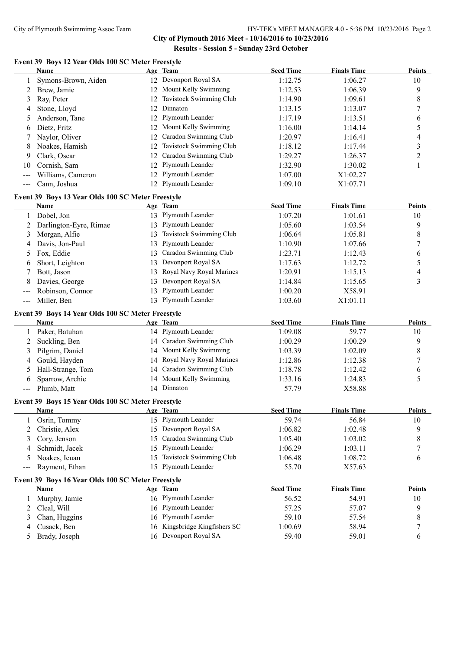**City of Plymouth 2016 Meet - 10/16/2016 to 10/23/2016 Results - Session 5 - Sunday 23rd October**

# **Event 39 Boys 12 Year Olds 100 SC Meter Freestyle**

|                            | Name                                              |    | Age Team                   | <b>Seed Time</b> | <b>Finals Time</b> | <b>Points</b>  |
|----------------------------|---------------------------------------------------|----|----------------------------|------------------|--------------------|----------------|
| 1                          | Symons-Brown, Aiden                               |    | 12 Devonport Royal SA      | 1:12.75          | 1:06.27            | 10             |
| 2                          | Brew, Jamie                                       | 12 | Mount Kelly Swimming       | 1:12.53          | 1:06.39            | 9              |
| 3                          | Ray, Peter                                        | 12 | Tavistock Swimming Club    | 1:14.90          | 1:09.61            | 8              |
| 4                          | Stone, Lloyd                                      | 12 | Dinnaton                   | 1:13.15          | 1:13.07            | $\tau$         |
| 5                          | Anderson, Tane                                    | 12 | Plymouth Leander           | 1:17.19          | 1:13.51            | 6              |
| 6                          | Dietz, Fritz                                      | 12 | Mount Kelly Swimming       | 1:16.00          | 1:14.14            | 5              |
| 7                          | Naylor, Oliver                                    | 12 | Caradon Swimming Club      | 1:20.97          | 1:16.41            | 4              |
| 8                          | Noakes, Hamish                                    | 12 | Tavistock Swimming Club    | 1:18.12          | 1:17.44            | 3              |
| 9                          | Clark, Oscar                                      | 12 | Caradon Swimming Club      | 1:29.27          | 1:26.37            | $\overline{c}$ |
| 10                         | Cornish, Sam                                      | 12 | Plymouth Leander           | 1:32.90          | 1:30.02            | 1              |
|                            | Williams, Cameron                                 | 12 | Plymouth Leander           | 1:07.00          | X1:02.27           |                |
| $\sim$ $\sim$ $\sim$       | Cann, Joshua                                      |    | 12 Plymouth Leander        | 1:09.10          | X1:07.71           |                |
|                            | Event 39 Boys 13 Year Olds 100 SC Meter Freestyle |    |                            |                  |                    |                |
|                            | <b>Name</b>                                       |    | Age Team                   | <b>Seed Time</b> | <b>Finals Time</b> | <b>Points</b>  |
| 1                          | Dobel, Jon                                        |    | 13 Plymouth Leander        | 1:07.20          | 1:01.61            | 10             |
| 2                          | Darlington-Eyre, Rimae                            |    | 13 Plymouth Leander        | 1:05.60          | 1:03.54            | 9              |
| 3                          | Morgan, Alfie                                     | 13 | Tavistock Swimming Club    | 1:06.64          | 1:05.81            | 8              |
| 4                          | Davis, Jon-Paul                                   | 13 | Plymouth Leander           | 1:10.90          | 1:07.66            | 7              |
| 5                          | Fox, Eddie                                        | 13 | Caradon Swimming Club      | 1:23.71          | 1:12.43            | 6              |
| 6                          | Short, Leighton                                   | 13 | Devonport Royal SA         | 1:17.63          | 1:12.72            | $\sqrt{5}$     |
| 7                          | Bott, Jason                                       | 13 | Royal Navy Royal Marines   | 1:20.91          | 1:15.13            | $\overline{4}$ |
| 8                          | Davies, George                                    | 13 | Devonport Royal SA         | 1:14.84          | 1:15.65            | 3              |
|                            | Robinson, Connor                                  | 13 | Plymouth Leander           | 1:00.20          | X58.91             |                |
| $---$                      | Miller, Ben                                       |    | 13 Plymouth Leander        | 1:03.60          | X1:01.11           |                |
|                            |                                                   |    |                            |                  |                    |                |
|                            | Event 39 Boys 14 Year Olds 100 SC Meter Freestyle |    |                            |                  |                    |                |
|                            | Name                                              |    | Age Team                   | <b>Seed Time</b> | <b>Finals Time</b> | <b>Points</b>  |
|                            | Paker, Batuhan                                    |    | 14 Plymouth Leander        | 1:09.08          | 59.77              | 10             |
| 2                          | Suckling, Ben                                     | 14 | Caradon Swimming Club      | 1:00.29          | 1:00.29            | 9              |
| 3                          | Pilgrim, Daniel                                   |    | 14 Mount Kelly Swimming    | 1:03.39          | 1:02.09            | 8              |
| 4                          | Gould, Hayden                                     | 14 | Royal Navy Royal Marines   | 1:12.86          | 1:12.38            | 7              |
| 5                          | Hall-Strange, Tom                                 | 14 | Caradon Swimming Club      | 1:18.78          | 1:12.42            | 6              |
| 6                          | Sparrow, Archie                                   | 14 | Mount Kelly Swimming       | 1:33.16          | 1:24.83            | 5              |
|                            | Plumb, Matt                                       |    | 14 Dinnaton                | 57.79            | X58.88             |                |
|                            | Event 39 Boys 15 Year Olds 100 SC Meter Freestyle |    |                            |                  |                    |                |
|                            | Name                                              |    | Age Team                   | <b>Seed Time</b> | <b>Finals Time</b> | <b>Points</b>  |
|                            | Osrin, Tommy                                      |    | 15 Plymouth Leander        | 59.74            | 56.84              | 10             |
| 2                          | Christie, Alex                                    | 15 | Devonport Royal SA         | 1:06.82          | 1:02.48            | 9              |
| 3                          | Cory, Jenson                                      | 15 | Caradon Swimming Club      | 1:05.40          | 1:03.02            | 8              |
| 4                          | Schmidt, Jacek                                    | 15 | Plymouth Leander           | 1:06.29          | 1:03.11            | 7              |
| 5                          | Noakes, Ieuan                                     | 15 | Tavistock Swimming Club    | 1:06.48          | 1:08.72            | 6              |
| $\qquad \qquad \text{---}$ | Rayment, Ethan                                    | 15 | Plymouth Leander           | 55.70            | X57.63             |                |
|                            | Event 39 Boys 16 Year Olds 100 SC Meter Freestyle |    |                            |                  |                    |                |
|                            | Name                                              |    | Age Team                   | <b>Seed Time</b> | <b>Finals Time</b> | <b>Points</b>  |
| 1                          | Murphy, Jamie                                     |    | 16 Plymouth Leander        | 56.52            | 54.91              | 10             |
| 2                          | Cleal, Will                                       | 16 | Plymouth Leander           | 57.25            | 57.07              | 9              |
| 3                          | Chan, Huggins                                     | 16 | Plymouth Leander           | 59.10            | 57.54              | 8              |
| 4                          | Cusack, Ben                                       | 16 | Kingsbridge Kingfishers SC | 1:00.69          | 58.94              | $\tau$         |
| 5                          | Brady, Joseph                                     |    | 16 Devonport Royal SA      | 59.40            | 59.01              | 6              |
|                            |                                                   |    |                            |                  |                    |                |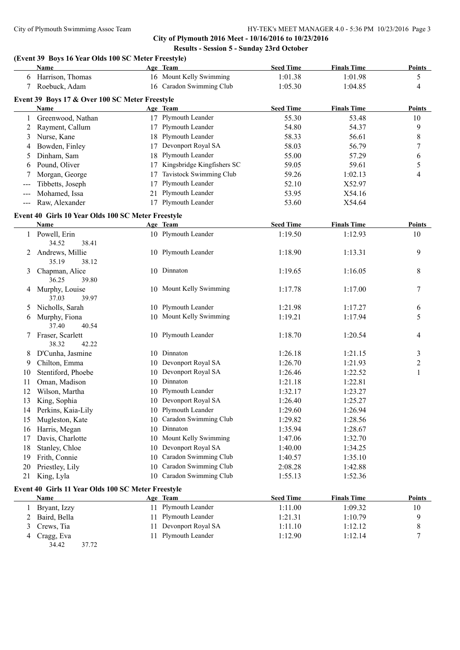**City of Plymouth 2016 Meet - 10/16/2016 to 10/23/2016 Results - Session 5 - Sunday 23rd October**

# **(Event 39 Boys 16 Year Olds 100 SC Meter Freestyle)**

|               | Name                                               |          | Age Team                                        | <b>Seed Time</b> | <b>Finals Time</b> | <b>Points</b>  |
|---------------|----------------------------------------------------|----------|-------------------------------------------------|------------------|--------------------|----------------|
|               | 6 Harrison, Thomas                                 |          | 16 Mount Kelly Swimming                         | 1:01.38          | 1:01.98            | 5              |
| 7             | Roebuck, Adam                                      |          | 16 Caradon Swimming Club                        | 1:05.30          | 1:04.85            | 4              |
|               | Event 39 Boys 17 & Over 100 SC Meter Freestyle     |          |                                                 |                  |                    |                |
|               | Name                                               |          | Age Team                                        | <b>Seed Time</b> | <b>Finals Time</b> | Points         |
| 1             | Greenwood, Nathan                                  |          | 17 Plymouth Leander                             | 55.30            | 53.48              | 10             |
| 2             | Rayment, Callum                                    |          | 17 Plymouth Leander                             | 54.80            | 54.37              | 9              |
| 3             | Nurse, Kane                                        |          | 18 Plymouth Leander                             | 58.33            | 56.61              | 8              |
| 4             | Bowden, Finley                                     |          | 17 Devonport Royal SA                           | 58.03            | 56.79              | 7              |
| 5             | Dinham, Sam                                        |          | 18 Plymouth Leander                             | 55.00            | 57.29              | 6              |
| 6             | Pound, Oliver                                      |          | 17 Kingsbridge Kingfishers SC                   | 59.05            | 59.61              | 5              |
|               | Morgan, George                                     | 17       | Tavistock Swimming Club                         | 59.26            | 1:02.13            | 4              |
|               | Tibbetts, Joseph                                   | 17       | Plymouth Leander                                | 52.10            | X52.97             |                |
|               | Mohamed, Issa                                      | 21       | Plymouth Leander                                | 53.95            | X54.16             |                |
| $\frac{1}{2}$ | Raw, Alexander                                     |          | 17 Plymouth Leander                             | 53.60            | X54.64             |                |
|               | Event 40 Girls 10 Year Olds 100 SC Meter Freestyle |          |                                                 |                  |                    |                |
|               | Name                                               |          | Age Team                                        | <b>Seed Time</b> | <b>Finals Time</b> | Points         |
|               | 1 Powell, Erin                                     |          | 10 Plymouth Leander                             | 1:19.50          | 1:12.93            | 10             |
|               | 34.52<br>38.41                                     |          |                                                 |                  |                    |                |
| 2             | Andrews, Millie                                    |          | 10 Plymouth Leander                             | 1:18.90          | 1:13.31            | 9              |
|               | 35.19<br>38.12                                     |          |                                                 |                  |                    |                |
| 3             | Chapman, Alice                                     |          | 10 Dinnaton                                     | 1:19.65          | 1:16.05            | 8              |
|               | 36.25<br>39.80                                     |          |                                                 |                  |                    |                |
| 4             | Murphy, Louise                                     |          | 10 Mount Kelly Swimming                         | 1:17.78          | 1:17.00            | 7              |
|               | 37.03<br>39.97                                     |          |                                                 |                  |                    |                |
| 5             | Nicholls, Sarah                                    |          | 10 Plymouth Leander                             | 1:21.98          | 1:17.27            | 6              |
| 6             | Murphy, Fiona                                      |          | 10 Mount Kelly Swimming                         | 1:19.21          | 1:17.94            | 5              |
|               | 37.40<br>40.54                                     |          |                                                 |                  |                    |                |
| 7             | Fraser, Scarlett                                   |          | 10 Plymouth Leander                             | 1:18.70          | 1:20.54            | 4              |
|               | 38.32<br>42.22                                     |          |                                                 |                  |                    |                |
| 8             | D'Cunha, Jasmine                                   |          | 10 Dinnaton                                     | 1:26.18          | 1:21.15            | 3              |
| 9             | Chilton, Emma                                      |          | 10 Devonport Royal SA                           | 1:26.70          | 1:21.93            | $\overline{c}$ |
| 10            | Stentiford, Phoebe                                 |          | 10 Devonport Royal SA                           | 1:26.46          | 1:22.52            | $\mathbf{1}$   |
| 11            | Oman, Madison                                      |          | 10 Dinnaton                                     | 1:21.18          | 1:22.81            |                |
| 12            | Wilson, Martha                                     |          | 10 Plymouth Leander                             | 1:32.17          | 1:23.27            |                |
| 13            | King, Sophia                                       |          | 10 Devonport Royal SA                           | 1:26.40          | 1:25.27            |                |
| 14            | Perkins, Kaia-Lily                                 |          | 10 Plymouth Leander<br>10 Caradon Swimming Club | 1:29.60          | 1:26.94            |                |
| 15            | Mugleston, Kate                                    |          | 10 Dinnaton                                     | 1:29.82          | 1:28.56<br>1:28.67 |                |
| 16            | Harris, Megan                                      |          | 10 Mount Kelly Swimming                         | 1:35.94          |                    |                |
| 17            | Davis, Charlotte                                   |          | Devonport Royal SA                              | 1:47.06          | 1:32.70            |                |
| 18            | Stanley, Chloe                                     | 10       | Caradon Swimming Club                           | 1:40.00          | 1:34.25            |                |
| 19            | Frith, Connie                                      | 10<br>10 | Caradon Swimming Club                           | 1:40.57          | 1:35.10            |                |
| 20            | Priestley, Lily                                    |          | Caradon Swimming Club                           | 2:08.28          | 1:42.88            |                |
| 21            | King, Lyla                                         | 10       |                                                 | 1:55.13          | 1:52.36            |                |
|               | Event 40 Girls 11 Year Olds 100 SC Meter Freestyle |          |                                                 |                  |                    |                |
|               | <b>Name</b>                                        |          | Age Team                                        | <b>Seed Time</b> | <b>Finals Time</b> | <b>Points</b>  |
| $\perp$       | Bryant, Izzy                                       |          | 11 Plymouth Leander                             | 1:11.00          | 1:09.32            | 10             |
| 2             | Baird, Bella                                       | 11.      | Plymouth Leander                                | 1:21.31          | 1:10.79            | 9              |
| 3             | Crews, Tia                                         | 11.      | Devonport Royal SA                              | 1:11.10          | 1:12.12            | 8              |
| 4             | Cragg, Eva                                         |          | 11 Plymouth Leander                             | 1:12.90          | 1:12.14            | 7              |
|               | 34.42<br>37.72                                     |          |                                                 |                  |                    |                |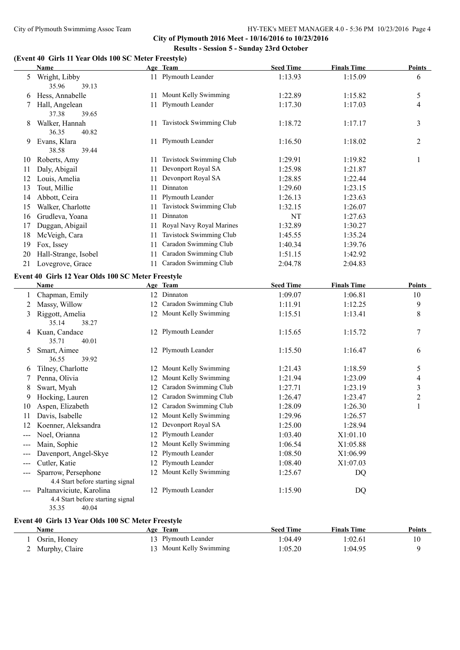**City of Plymouth 2016 Meet - 10/16/2016 to 10/23/2016 Results - Session 5 - Sunday 23rd October**

# **(Event 40 Girls 11 Year Olds 100 SC Meter Freestyle)**

|       | $\frac{1}{2}$ is 11 fear ones for SC meter Freestyn)<br>Name |     | Age Team                   | <b>Seed Time</b> | <b>Finals Time</b> | <b>Points</b>  |
|-------|--------------------------------------------------------------|-----|----------------------------|------------------|--------------------|----------------|
|       | 5 Wright, Libby<br>39.13<br>35.96                            |     | 11 Plymouth Leander        | 1:13.93          | 1:15.09            | 6              |
| 6     | Hess, Annabelle                                              |     | 11 Mount Kelly Swimming    | 1:22.89          | 1:15.82            | 5              |
| 7     | Hall, Angelean<br>37.38<br>39.65                             |     | 11 Plymouth Leander        | 1:17.30          | 1:17.03            | 4              |
| 8     | Walker, Hannah<br>36.35<br>40.82                             |     | 11 Tavistock Swimming Club | 1:18.72          | 1:17.17            | 3              |
| 9.    | Evans, Klara<br>38.58<br>39.44                               |     | 11 Plymouth Leander        | 1:16.50          | 1:18.02            | 2              |
|       | 10 Roberts, Amy                                              |     | 11 Tavistock Swimming Club | 1:29.91          | 1:19.82            | $\mathbf{1}$   |
| 11    | Daly, Abigail                                                | 11  | Devonport Royal SA         | 1:25.98          | 1:21.87            |                |
| 12    | Louis, Amelia                                                |     | 11 Devonport Royal SA      | 1:28.85          | 1:22.44            |                |
| 13    | Tout, Millie                                                 | 11. | Dinnaton                   | 1:29.60          | 1:23.15            |                |
| 14    | Abbott, Ceira                                                |     | 11 Plymouth Leander        | 1:26.13          | 1:23.63            |                |
| 15    | Walker, Charlotte                                            | 11- | Tavistock Swimming Club    | 1:32.15          | 1:26.07            |                |
| 16    | Grudleva, Yoana                                              | 11  | Dinnaton                   | NT               | 1:27.63            |                |
| 17    | Duggan, Abigail                                              | 11  | Royal Navy Royal Marines   | 1:32.89          | 1:30.27            |                |
| 18    | McVeigh, Cara                                                | 11  | Tavistock Swimming Club    | 1:45.55          | 1:35.24            |                |
| 19    | Fox, Issey                                                   | 11  | Caradon Swimming Club      | 1:40.34          | 1:39.76            |                |
| 20    | Hall-Strange, Isobel                                         | 11  | Caradon Swimming Club      | 1:51.15          | 1:42.92            |                |
| 21    | Lovegrove, Grace                                             |     | 11 Caradon Swimming Club   | 2:04.78          | 2:04.83            |                |
|       | Event 40 Girls 12 Year Olds 100 SC Meter Freestyle           |     |                            |                  |                    |                |
|       | Name                                                         |     | Age Team                   | <b>Seed Time</b> | <b>Finals Time</b> | <b>Points</b>  |
| 1     | Chapman, Emily                                               |     | 12 Dinnaton                | 1:09.07          | 1:06.81            | 10             |
| 2     | Massy, Willow                                                |     | 12 Caradon Swimming Club   | 1:11.91          | 1:12.25            | 9              |
| 3     | Riggott, Amelia<br>35.14<br>38.27                            |     | 12 Mount Kelly Swimming    | 1:15.51          | 1:13.41            | 8              |
|       | 4 Kuan, Candace<br>35.71<br>40.01                            |     | 12 Plymouth Leander        | 1:15.65          | 1:15.72            | 7              |
| 5     | Smart, Aimee<br>39.92<br>36.55                               |     | 12 Plymouth Leander        | 1:15.50          | 1:16.47            | 6              |
| b     | Tilney, Charlotte                                            |     | 12 Mount Kelly Swimming    | 1:21.43          | 1:18.59            | 5              |
| 7     | Penna, Olivia                                                |     | 12 Mount Kelly Swimming    | 1:21.94          | 1:23.09            | 4              |
| 8     | Swart, Myah                                                  |     | 12 Caradon Swimming Club   | 1:27.71          | 1:23.19            | 3              |
| 9     | Hocking, Lauren                                              |     | 12 Caradon Swimming Club   | 1:26.47          | 1:23.47            | $\overline{c}$ |
| 10    | Aspen, Elizabeth                                             |     | 12 Caradon Swimming Club   | 1:28.09          | 1:26.30            | $\mathbf{1}$   |
| 11    | Davis, Isabelle                                              |     | 12 Mount Kelly Swimming    | 1:29.96          | 1:26.57            |                |
| 12    | Koenner, Aleksandra                                          | 12  | Devonport Royal SA         | 1:25.00          | 1:28.94            |                |
| ---   | Noel, Orianna                                                | 12  | Plymouth Leander           | 1:03.40          | X1:01.10           |                |
| $---$ | Main, Sophie                                                 | 12  | Mount Kelly Swimming       | 1:06.54          | X1:05.88           |                |
| ---   | Davenport, Angel-Skye                                        | 12  | Plymouth Leander           | 1:08.50          | X1:06.99           |                |
| ---   | Cutler, Katie                                                |     | 12 Plymouth Leander        | 1:08.40          | X1:07.03           |                |
| ---   | Sparrow, Persephone                                          |     | 12 Mount Kelly Swimming    | 1:25.67          | DQ                 |                |
|       | 4.4 Start before starting signal                             |     |                            |                  |                    |                |
|       | --- Paltanaviciute, Karolina                                 |     | 12 Plymouth Leander        | 1:15.90          | DQ                 |                |

4.4 Start before starting signal<br>35.35 40.04 40.04

# **Event 40 Girls 13 Year Olds 100 SC Meter Freestyle**

| Name           | Team<br>Age             | <b>Seed Time</b> | <b>Finals Time</b> | Points |
|----------------|-------------------------|------------------|--------------------|--------|
| Osrin, Honey   | 13 Plymouth Leander     | 1:04.49          | 1:02.61            |        |
| Murphy, Claire | 13 Mount Kelly Swimming | 1:05.20          | 1:04.95            |        |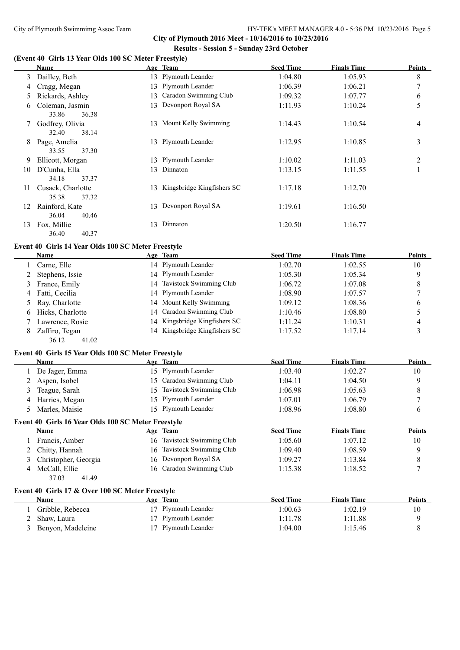**City of Plymouth 2016 Meet - 10/16/2016 to 10/23/2016 Results - Session 5 - Sunday 23rd October**

### **(Event 40 Girls 13 Year Olds 100 SC Meter Freestyle)**

|    | Name              |     | Age Team                   | <b>Seed Time</b> | <b>Finals Time</b> | Points         |
|----|-------------------|-----|----------------------------|------------------|--------------------|----------------|
| 3  | Dailley, Beth     |     | 13 Plymouth Leander        | 1:04.80          | 1:05.93            | 8              |
| 4  | Cragg, Megan      |     | 13 Plymouth Leander        | 1:06.39          | 1:06.21            | $\overline{7}$ |
| 5  | Rickards, Ashley  | 13  | Caradon Swimming Club      | 1:09.32          | 1:07.77            | 6              |
| 6  | Coleman, Jasmin   |     | 13 Devonport Royal SA      | 1:11.93          | 1:10.24            | 5              |
|    | 36.38<br>33.86    |     |                            |                  |                    |                |
|    | Godfrey, Olivia   |     | 13 Mount Kelly Swimming    | 1:14.43          | 1:10.54            | 4              |
|    | 38.14<br>32.40    |     |                            |                  |                    |                |
| 8  | Page, Amelia      |     | 13 Plymouth Leander        | 1:12.95          | 1:10.85            | 3              |
|    | 37.30<br>33.55    |     |                            |                  |                    |                |
| 9  | Ellicott, Morgan  |     | 13 Plymouth Leander        | 1:10.02          | 1:11.03            | $\overline{c}$ |
| 10 | D'Cunha, Ella     | 13. | Dinnaton                   | 1:13.15          | 1:11.55            | 1              |
|    | 37.37<br>34.18    |     |                            |                  |                    |                |
| 11 | Cusack, Charlotte | 13  | Kingsbridge Kingfishers SC | 1:17.18          | 1:12.70            |                |
|    | 35.38<br>37.32    |     |                            |                  |                    |                |
| 12 | Rainford, Kate    | 13. | Devonport Royal SA         | 1:19.61          | 1:16.50            |                |
|    | 40.46<br>36.04    |     |                            |                  |                    |                |
| 13 | Fox, Millie       | 13. | Dinnaton                   | 1:20.50          | 1:16.77            |                |
|    | 36.40<br>40.37    |     |                            |                  |                    |                |

# **Event 40 Girls 14 Year Olds 100 SC Meter Freestyle**

|   | <b>Name</b>        |    | Age Team                      | <b>Seed Time</b> | <b>Finals Time</b> | <b>Points</b> |
|---|--------------------|----|-------------------------------|------------------|--------------------|---------------|
|   | Carne, Elle        |    | 14 Plymouth Leander           | 1:02.70          | 1:02.55            | 10            |
|   | 2 Stephens, Issie  |    | 14 Plymouth Leander           | 1:05.30          | 1:05.34            | Q             |
|   | France, Emily      | 14 | Tavistock Swimming Club       | 1:06.72          | 1:07.08            |               |
| 4 | Fatti, Cecilia     |    | 14 Plymouth Leander           | 1:08.90          | 1:07.57            |               |
|   | 5 Ray, Charlotte   |    | 14 Mount Kelly Swimming       | 1:09.12          | 1:08.36            | 6             |
|   | 6 Hicks, Charlotte |    | 14 Caradon Swimming Club      | 1:10.46          | 1:08.80            |               |
|   | Lawrence, Rosie    |    | 14 Kingsbridge Kingfishers SC | 1:11.24          | 1:10.31            | 4             |
|   | Zaffiro, Tegan     |    | 14 Kingsbridge Kingfishers SC | 1:17.52          | 1:17.14            |               |

### **Event 40 Girls 15 Year Olds 100 SC Meter Freestyle**

36.12 41.02

|    | <b>Name</b>                                        |     | Age Team                | <b>Seed Time</b> | <b>Finals Time</b> | <b>Points</b> |
|----|----------------------------------------------------|-----|-------------------------|------------------|--------------------|---------------|
|    | De Jager, Emma                                     |     | 15 Plymouth Leander     | 1:03.40          | 1:02.27            | 10            |
|    | Aspen, Isobel                                      | 15. | Caradon Swimming Club   | 1:04.11          | 1:04.50            | 9             |
| 3  | Teague, Sarah                                      | 15  | Tavistock Swimming Club | 1:06.98          | 1:05.63            | 8             |
| 4  | Harries, Megan                                     |     | 15 Plymouth Leander     | 1:07.01          | 1:06.79            | $\mathbf{r}$  |
| 5. | Marles, Maisie                                     | 15. | Plymouth Leander        | 1:08.96          | 1:08.80            | 6             |
|    | Event 40 Girls 16 Year Olds 100 SC Meter Freestyle |     |                         |                  |                    |               |
|    | <b>Name</b>                                        |     | Age Team                | <b>Seed Time</b> | <b>Finals Time</b> | <b>Points</b> |
|    | Francis, Amber                                     | 16  | Tavistock Swimming Club | 1:05.60          | 1:07.12            | 10            |
|    | Chitty, Hannah                                     | 16  | Tavistock Swimming Club | 1:09.40          | 1:08.59            | 9             |
| 3  | Christopher, Georgia                               | 16. | Devonport Royal SA      | 1:09.27          | 1:13.84            | 8             |
| 4  | McCall, Ellie                                      | 16. | Caradon Swimming Club   | 1:15.38          | 1:18.52            | $\mathcal{I}$ |
|    | 41.49<br>37.03                                     |     |                         |                  |                    |               |
|    | Event 40 Girls 17 & Over 100 SC Meter Freestyle    |     |                         |                  |                    |               |
|    | <b>Name</b>                                        |     | Age Team                | <b>Seed Time</b> | <b>Finals Time</b> | <b>Points</b> |
|    | Gribble, Rebecca                                   | 17  | Plymouth Leander        | 1:00.63          | 1:02.19            | 10            |
|    | Shaw, Laura                                        |     | Plymouth Leander        | 1:11.78          | 1:11.88            | 9             |

3 Benyon, Madeleine 17 Plymouth Leander 1:04.00 1:15.46 8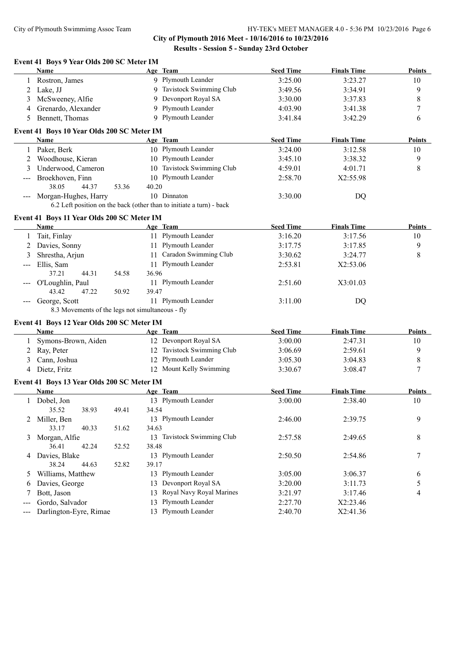**City of Plymouth 2016 Meet - 10/16/2016 to 10/23/2016 Results - Session 5 - Sunday 23rd October**

|                     | Name                                                              |       |       | Age Team                                                             | <b>Seed Time</b> | <b>Finals Time</b> | <b>Points</b> |
|---------------------|-------------------------------------------------------------------|-------|-------|----------------------------------------------------------------------|------------------|--------------------|---------------|
| 1                   | Rostron, James                                                    |       |       | 9 Plymouth Leander                                                   | 3:25.00          | 3:23.27            | 10            |
| 2                   | Lake, JJ                                                          |       |       | 9 Tavistock Swimming Club                                            | 3:49.56          | 3:34.91            | 9             |
| 3                   | McSweeney, Alfie                                                  |       | 9     | Devonport Royal SA                                                   | 3:30.00          | 3:37.83            | $\,$ $\,$     |
| 4                   | Grenardo, Alexander                                               |       | 9     | Plymouth Leander                                                     | 4:03.90          | 3:41.38            | $\tau$        |
| 5                   | Bennett, Thomas                                                   |       |       | 9 Plymouth Leander                                                   | 3:41.84          | 3:42.29            | 6             |
|                     | Event 41 Boys 10 Year Olds 200 SC Meter IM                        |       |       |                                                                      |                  |                    |               |
|                     | Name                                                              |       |       | Age Team                                                             | <b>Seed Time</b> | <b>Finals Time</b> | Points        |
|                     | 1 Paker, Berk                                                     |       |       | 10 Plymouth Leander                                                  | 3:24.00          | 3:12.58            | 10            |
| 2                   | Woodhouse, Kieran                                                 |       |       | 10 Plymouth Leander                                                  | 3:45.10          | 3:38.32            | 9             |
| 3                   | Underwood, Cameron                                                |       |       | 10 Tavistock Swimming Club                                           | 4:59.01          | 4:01.71            | $\,$ 8 $\,$   |
|                     | Broekhoven, Finn                                                  |       |       | 10 Plymouth Leander                                                  | 2:58.70          | X2:55.98           |               |
|                     | 38.05<br>44.37                                                    | 53.36 | 40.20 |                                                                      |                  |                    |               |
|                     | Morgan-Hughes, Harry                                              |       |       | 10 Dinnaton                                                          | 3:30.00          | DQ                 |               |
|                     |                                                                   |       |       | 6.2 Left position on the back (other than to initiate a turn) - back |                  |                    |               |
|                     |                                                                   |       |       |                                                                      |                  |                    |               |
|                     | Event 41 Boys 11 Year Olds 200 SC Meter IM                        |       |       |                                                                      |                  |                    |               |
|                     | Name                                                              |       |       | Age Team                                                             | <b>Seed Time</b> | <b>Finals Time</b> | <b>Points</b> |
| 1                   | Tait, Finlay                                                      |       |       | 11 Plymouth Leander                                                  | 3:16.20          | 3:17.56            | 10            |
| 2                   | Davies, Sonny                                                     |       |       | 11 Plymouth Leander                                                  | 3:17.75          | 3:17.85            | 9             |
| 3                   | Shrestha, Arjun                                                   |       | 11    | Caradon Swimming Club                                                | 3:30.62          | 3:24.77            | 8             |
| $---$               | Ellis, Sam                                                        |       |       | 11 Plymouth Leander                                                  | 2:53.81          | X2:53.06           |               |
|                     | 37.21<br>44.31                                                    | 54.58 | 36.96 |                                                                      |                  |                    |               |
|                     | O'Loughlin, Paul                                                  |       |       | 11 Plymouth Leander                                                  | 2:51.60          | X3:01.03           |               |
|                     | 43.42<br>47.22                                                    | 50.92 | 39.47 | 11 Plymouth Leander                                                  |                  |                    |               |
| $\qquad \qquad - -$ | George, Scott<br>8.3 Movements of the legs not simultaneous - fly |       |       |                                                                      | 3:11.00          | DQ                 |               |
|                     |                                                                   |       |       |                                                                      |                  |                    |               |
|                     | Event 41 Boys 12 Year Olds 200 SC Meter IM                        |       |       |                                                                      |                  |                    |               |
|                     | Name                                                              |       |       | Age Team                                                             | <b>Seed Time</b> | <b>Finals Time</b> | <b>Points</b> |
| 1                   | Symons-Brown, Aiden                                               |       |       | 12 Devonport Royal SA                                                | 3:00.00          | 2:47.31            | 10            |
| 2                   | Ray, Peter                                                        |       | 12    | Tavistock Swimming Club                                              | 3:06.69          | 2:59.61            | 9             |
| 3                   | Cann, Joshua                                                      |       | 12    | Plymouth Leander                                                     | 3:05.30          | 3:04.83            | 8             |
| 4                   | Dietz, Fritz                                                      |       |       | 12 Mount Kelly Swimming                                              | 3:30.67          | 3:08.47            | 7             |
|                     | Event 41 Boys 13 Year Olds 200 SC Meter IM                        |       |       |                                                                      |                  |                    |               |
|                     | Name                                                              |       |       | Age Team                                                             | <b>Seed Time</b> | <b>Finals Time</b> | <b>Points</b> |
| 1                   | Dobel, Jon                                                        |       |       | 13 Plymouth Leander                                                  | 3:00.00          | 2:38.40            | 10            |
|                     | 35.52<br>38.93                                                    | 49.41 | 34.54 |                                                                      |                  |                    |               |
| $\overline{2}$      | Miller, Ben                                                       |       |       | 13 Plymouth Leander                                                  | 2:46.00          | 2:39.75            | 9             |
|                     | 33.17<br>40.33                                                    | 51.62 | 34.63 |                                                                      |                  |                    |               |
| 3                   | Morgan, Alfie                                                     |       |       | 13 Tavistock Swimming Club                                           | 2:57.58          | 2:49.65            | 8             |
|                     | 36.41<br>42.24                                                    | 52.52 | 38.48 |                                                                      |                  |                    |               |
| 4                   | Davies, Blake                                                     |       |       | 13 Plymouth Leander                                                  | 2:50.50          | 2:54.86            | 7             |
|                     | 38.24<br>44.63                                                    | 52.82 | 39.17 |                                                                      |                  |                    |               |
| 5.                  | Williams, Matthew                                                 |       |       | 13 Plymouth Leander                                                  | 3:05.00          | 3:06.37            | 6             |
| 6                   | Davies, George                                                    |       | 13    | Devonport Royal SA                                                   | 3:20.00          | 3:11.73            | 5             |
| 7                   | Bott, Jason                                                       |       | 13    | Royal Navy Royal Marines                                             | 3:21.97          | 3:17.46            | 4             |
|                     | Gordo, Salvador                                                   |       | 13    | Plymouth Leander                                                     | 2:27.70          | X2:23.46           |               |
| $---$               | Darlington-Eyre, Rimae                                            |       | 13    | Plymouth Leander                                                     | 2:40.70          | X2:41.36           |               |
|                     |                                                                   |       |       |                                                                      |                  |                    |               |

# **Event 41 Boys 9 Year Olds 200 SC Meter IM**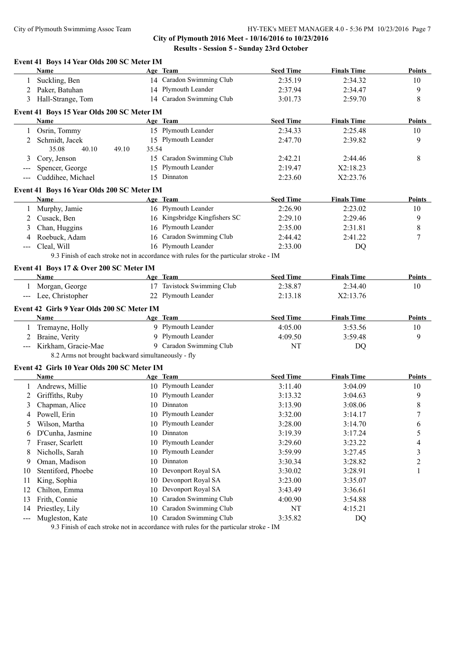# **City of Plymouth 2016 Meet - 10/16/2016 to 10/23/2016 Results - Session 5 - Sunday 23rd October**

|                     | Event 41 Boys 14 Year Olds 200 SC Meter IM         |       |                                                                                                               |                  |                    |               |
|---------------------|----------------------------------------------------|-------|---------------------------------------------------------------------------------------------------------------|------------------|--------------------|---------------|
|                     | Name                                               |       | Age Team                                                                                                      | <b>Seed Time</b> | <b>Finals Time</b> | Points        |
| 1                   | Suckling, Ben                                      |       | 14 Caradon Swimming Club                                                                                      | 2:35.19          | 2:34.32            | 10            |
| 2                   | Paker, Batuhan                                     |       | 14 Plymouth Leander                                                                                           | 2:37.94          | 2:34.47            | 9             |
| 3                   | Hall-Strange, Tom                                  |       | 14 Caradon Swimming Club                                                                                      | 3:01.73          | 2:59.70            | 8             |
|                     | Event 41 Boys 15 Year Olds 200 SC Meter IM         |       |                                                                                                               |                  |                    |               |
|                     | Name                                               |       | Age Team                                                                                                      | <b>Seed Time</b> | <b>Finals Time</b> | Points        |
|                     | 1 Osrin, Tommy                                     |       | 15 Plymouth Leander                                                                                           | 2:34.33          | 2:25.48            | 10            |
|                     | 2 Schmidt, Jacek                                   |       | 15 Plymouth Leander                                                                                           | 2:47.70          | 2:39.82            | 9             |
|                     | 35.08<br>40.10<br>49.10                            | 35.54 |                                                                                                               |                  |                    |               |
| 3                   | Cory, Jenson                                       |       | 15 Caradon Swimming Club                                                                                      | 2:42.21          | 2:44.46            | 8             |
| $---$               | Spencer, George                                    |       | 15 Plymouth Leander                                                                                           | 2:19.47          | X2:18.23           |               |
| $\qquad \qquad - -$ | Cuddihee, Michael                                  |       | 15 Dinnaton                                                                                                   | 2:23.60          | X2:23.76           |               |
|                     | Event 41 Boys 16 Year Olds 200 SC Meter IM         |       |                                                                                                               |                  |                    |               |
|                     | Name                                               |       | Age Team                                                                                                      | <b>Seed Time</b> | <b>Finals Time</b> | <b>Points</b> |
| $\mathbf{1}$        | Murphy, Jamie                                      |       | 16 Plymouth Leander                                                                                           | 2:26.90          | 2:23.02            | 10            |
| 2                   | Cusack, Ben                                        |       | 16 Kingsbridge Kingfishers SC                                                                                 | 2:29.10          | 2:29.46            | 9             |
| 3                   | Chan, Huggins                                      |       | 16 Plymouth Leander                                                                                           | 2:35.00          | 2:31.81            | 8             |
| 4                   | Roebuck, Adam                                      |       | 16 Caradon Swimming Club                                                                                      | 2:44.42          | 2:41.22            | 7             |
| ---                 | Cleal, Will                                        |       | 16 Plymouth Leander                                                                                           | 2:33.00          | DQ                 |               |
|                     |                                                    |       | 9.3 Finish of each stroke not in accordance with rules for the particular stroke - IM                         |                  |                    |               |
|                     | Event 41 Boys 17 & Over 200 SC Meter IM            |       |                                                                                                               |                  |                    |               |
|                     | <b>Name</b>                                        |       | Age Team                                                                                                      | <b>Seed Time</b> | <b>Finals Time</b> | <b>Points</b> |
|                     | 1 Morgan, George                                   |       | 17 Tavistock Swimming Club                                                                                    | 2:38.87          | 2:34.40            | 10            |
|                     | --- Lee, Christopher                               |       | 22 Plymouth Leander                                                                                           | 2:13.18          | X2:13.76           |               |
|                     | Event 42 Girls 9 Year Olds 200 SC Meter IM         |       |                                                                                                               |                  |                    |               |
|                     | Name                                               |       | Age Team                                                                                                      | <b>Seed Time</b> | <b>Finals Time</b> | Points        |
| 1                   | Tremayne, Holly                                    |       | 9 Plymouth Leander                                                                                            | 4:05.00          | 3:53.56            | 10            |
| 2                   | Braine, Verity                                     |       | 9 Plymouth Leander                                                                                            | 4:09.50          | 3:59.48            | 9             |
|                     | Kirkham, Gracie-Mae                                |       | 9 Caradon Swimming Club                                                                                       | NT               |                    |               |
| $---$               | 8.2 Arms not brought backward simultaneously - fly |       |                                                                                                               |                  | DQ                 |               |
|                     | Event 42 Girls 10 Year Olds 200 SC Meter IM        |       |                                                                                                               |                  |                    |               |
|                     | Name                                               |       | Age Team                                                                                                      | <b>Seed Time</b> | <b>Finals Time</b> | <b>Points</b> |
|                     | 1 Andrews, Millie                                  |       | 10 Plymouth Leander                                                                                           | 3:11.40          | 3:04.09            | 10            |
|                     | 2 Griffiths, Ruby                                  |       | 10 Plymouth Leander                                                                                           | 3:13.32          | 3:04.63            | 9             |
|                     | 3 Chapman, Alice                                   |       | 10 Dinnaton                                                                                                   | 3:13.90          | 3:08.06            | $\,8\,$       |
| 4                   | Powell, Erin                                       |       | 10 Plymouth Leander                                                                                           | 3:32.00          | 3:14.17            | 7             |
| 5                   | Wilson, Martha                                     | 10    | Plymouth Leander                                                                                              | 3:28.00          | 3:14.70            | 6             |
| 6                   | D'Cunha, Jasmine                                   | 10    | Dinnaton                                                                                                      | 3:19.39          | 3:17.24            | 5             |
| 7                   | Fraser, Scarlett                                   | 10    | Plymouth Leander                                                                                              | 3:29.60          | 3:23.22            | 4             |
| 8                   | Nicholls, Sarah                                    | 10    | Plymouth Leander                                                                                              | 3:59.99          | 3:27.45            | 3             |
|                     |                                                    |       | Dinnaton                                                                                                      |                  |                    |               |
| 9                   | Oman, Madison                                      | 10    |                                                                                                               | 3:30.34          | 3:28.82            | 2             |
| 10                  | Stentiford, Phoebe                                 | 10    | Devonport Royal SA                                                                                            | 3:30.02          | 3:28.91            | 1             |
| 11                  | King, Sophia                                       | 10    | Devonport Royal SA                                                                                            | 3:23.00          | 3:35.07            |               |
| 12                  | Chilton, Emma                                      | 10    | Devonport Royal SA                                                                                            | 3:43.49          | 3:36.61            |               |
| 13                  | Frith, Connie                                      | 10    | Caradon Swimming Club                                                                                         | 4:00.90          | 3:54.88            |               |
| 14                  | Priestley, Lily                                    | 10    | Caradon Swimming Club                                                                                         | NT               | 4:15.21            |               |
| $---$               | Mugleston, Kate                                    | 10    | Caradon Swimming Club<br>0.2 Einigh of each stroke not in eccordance with rules for the perticular stroke. IM | 3:35.82          | DQ                 |               |

9.3 Finish of each stroke not in accordance with rules for the particular stroke - IM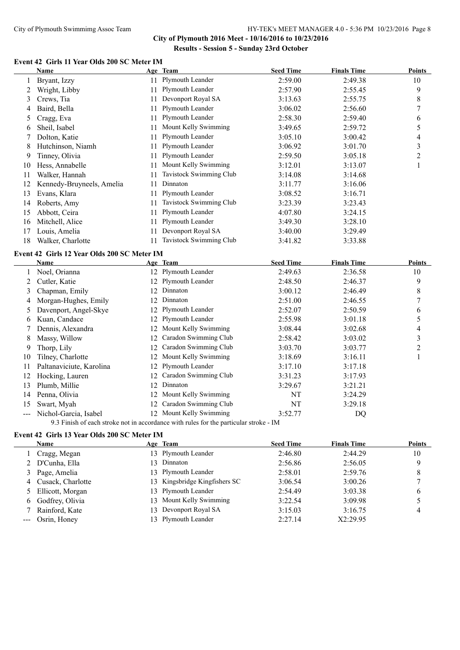# **City of Plymouth 2016 Meet - 10/16/2016 to 10/23/2016 Results - Session 5 - Sunday 23rd October**

#### **Event 42 Girls 11 Year Olds 200 SC Meter IM**

|    | Name                      |     | Age Team                | <b>Seed Time</b> | <b>Finals Time</b> | <b>Points</b> |
|----|---------------------------|-----|-------------------------|------------------|--------------------|---------------|
|    | Bryant, Izzy              |     | 11 Plymouth Leander     | 2:59.00          | 2:49.38            | 10            |
|    | Wright, Libby             |     | Plymouth Leander        | 2:57.90          | 2:55.45            | 9             |
| 3  | Crews, Tia                | 11  | Devonport Royal SA      | 3:13.63          | 2:55.75            | 8             |
| 4  | Baird, Bella              | 11  | Plymouth Leander        | 3:06.02          | 2:56.60            |               |
| 5. | Cragg, Eva                | 11  | Plymouth Leander        | 2:58.30          | 2:59.40            | 6             |
| 6  | Sheil, Isabel             | 11  | Mount Kelly Swimming    | 3:49.65          | 2:59.72            | 5             |
|    | Dolton, Katie             | 11  | Plymouth Leander        | 3:05.10          | 3:00.42            | 4             |
| 8  | Hutchinson, Niamh         | 11  | Plymouth Leander        | 3:06.92          | 3:01.70            | 3             |
| 9  | Tinney, Olivia            | 11. | Plymouth Leander        | 2:59.50          | 3:05.18            | 2             |
| 10 | Hess, Annabelle           |     | Mount Kelly Swimming    | 3:12.01          | 3:13.07            |               |
| 11 | Walker, Hannah            |     | Tavistock Swimming Club | 3:14.08          | 3:14.68            |               |
| 12 | Kennedy-Bruyneels, Amelia |     | Dinnaton                | 3:11.77          | 3:16.06            |               |
| 13 | Evans, Klara              |     | Plymouth Leander        | 3:08.52          | 3:16.71            |               |
| 14 | Roberts, Amy              |     | Tavistock Swimming Club | 3:23.39          | 3:23.43            |               |
| 15 | Abbott, Ceira             |     | Plymouth Leander        | 4:07.80          | 3:24.15            |               |
| 16 | Mitchell, Alice           |     | Plymouth Leander        | 3:49.30          | 3:28.10            |               |
| 17 | Louis, Amelia             |     | Devonport Royal SA      | 3:40.00          | 3:29.49            |               |
| 18 | Walker, Charlotte         |     | Tavistock Swimming Club | 3:41.82          | 3:33.88            |               |

#### **Event 42 Girls 12 Year Olds 200 SC Meter IM**

| Name                     |     |                       | <b>Seed Time</b>                                                   | <b>Finals Time</b> | <b>Points</b> |
|--------------------------|-----|-----------------------|--------------------------------------------------------------------|--------------------|---------------|
| Noel, Orianna            |     |                       | 2:49.63                                                            | 2:36.58            | 10            |
| Cutler, Katie            |     |                       | 2:48.50                                                            | 2:46.37            | 9             |
| Chapman, Emily           |     | Dinnaton              | 3:00.12                                                            | 2:46.49            | 8             |
| Morgan-Hughes, Emily     | 12  | Dinnaton              | 2:51.00                                                            | 2:46.55            |               |
| Davenport, Angel-Skye    | 12. | Plymouth Leander      | 2:52.07                                                            | 2:50.59            | 6             |
| Kuan, Candace            |     | Plymouth Leander      | 2:55.98                                                            | 3:01.18            | 5             |
| Dennis, Alexandra        | 12  | Mount Kelly Swimming  | 3:08.44                                                            | 3:02.68            | 4             |
| Massy, Willow            | 12. | Caradon Swimming Club | 2:58.42                                                            | 3:03.02            | 3             |
| Thorp, Lily              | 12  | Caradon Swimming Club | 3:03.70                                                            | 3:03.77            | 2             |
| Tilney, Charlotte        | 12. | Mount Kelly Swimming  | 3:18.69                                                            | 3:16.11            |               |
| Paltanaviciute, Karolina | 12. | Plymouth Leander      | 3:17.10                                                            | 3:17.18            |               |
| Hocking, Lauren          | 12. | Caradon Swimming Club | 3:31.23                                                            | 3:17.93            |               |
| Plumb, Millie            | 12. | Dinnaton              | 3:29.67                                                            | 3:21.21            |               |
| Penna, Olivia            | 12  | Mount Kelly Swimming  | NT                                                                 | 3:24.29            |               |
| Swart, Myah              | 12. | Caradon Swimming Club | NT                                                                 | 3:29.18            |               |
| Nichol-Garcia, Isabel    |     | Mount Kelly Swimming  | 3:52.77                                                            | DQ                 |               |
|                          |     |                       | Age Team<br>12 Plymouth Leander<br>12 Plymouth Leander<br>12<br>12 |                    |               |

9.3 Finish of each stroke not in accordance with rules for the particular stroke - IM

# **Event 42 Girls 13 Year Olds 200 SC Meter IM**

| Name                | Age Team                      | <b>Seed Time</b> | <b>Finals Time</b> | <b>Points</b> |
|---------------------|-------------------------------|------------------|--------------------|---------------|
| Cragg, Megan        | 13 Plymouth Leander           | 2:46.80          | 2:44.29            | 10            |
| 2 D'Cunha, Ella     | 13 Dinnaton                   | 2:56.86          | 2:56.05            | 9             |
| 3 Page, Amelia      | 13 Plymouth Leander           | 2:58.01          | 2:59.76            |               |
| 4 Cusack, Charlotte | 13 Kingsbridge Kingfishers SC | 3:06.54          | 3:00.26            |               |
| 5 Ellicott, Morgan  | 13 Plymouth Leander           | 2:54.49          | 3:03.38            | 6             |
| 6 Godfrey, Olivia   | 13 Mount Kelly Swimming       | 3:22.54          | 3:09.98            |               |
| Rainford, Kate      | 13 Devonport Royal SA         | 3:15.03          | 3:16.75            |               |
| Osrin, Honey        | 13 Plymouth Leander           | 2:27.14          | X2:29.95           |               |